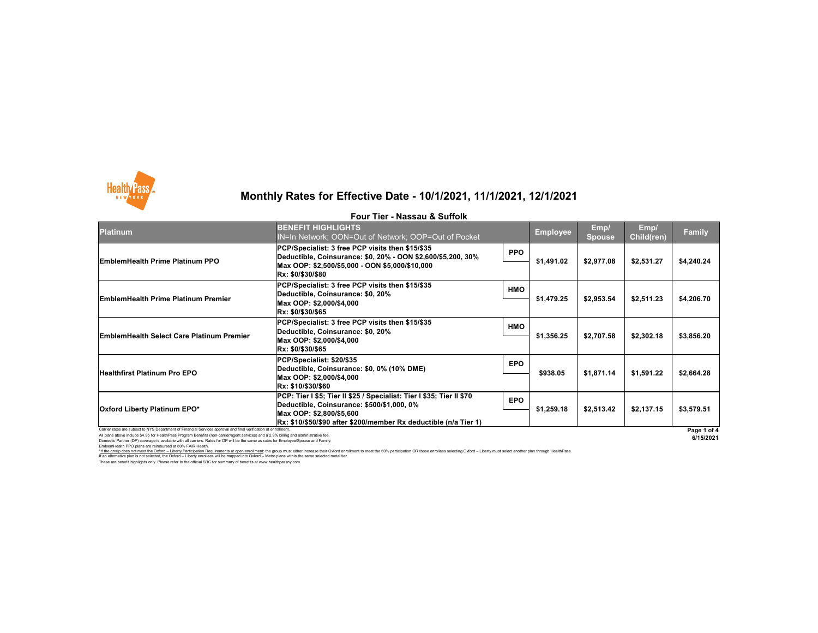All plans above include \$4.95 for HealthPass Program Benefits (non-carrier/agent services) and a 2.9% billing and administrative fee. Domestic Partner (DP) coverage is available with all carriers. Rates for DP will be the same as rates for Employee/Spouse and Family.

EmblemHealth PPO plans are reimbursed at 80% FAIR Health.

I hese are benefit highlights only. Please refer to the official SBC for summary of benefits at www.healthpassny.com. \*If the group does not meet the Oxford – Liberty Participation Requirements at open enrollment: the group must either increase their Oxford enrollment to meet the 60% participation OR those enrollees selecting Oxford – Lib If an alternative plan is not selected, the Oxford – Liberty enrollees will be mapped into Oxford – Metro plans within the same selected metal tier.

| <b>Platinum</b>                                                                                                 | <b>BENEFIT HIGHLIGHTS</b><br>IN=In Network; OON=Out of Network; OOP=Out of Pocket                                                                                                                                                   |            | <b>Employee</b> | Emp/<br><b>Spouse</b> | Emp/<br>Child(ren) | <b>Family</b> |
|-----------------------------------------------------------------------------------------------------------------|-------------------------------------------------------------------------------------------------------------------------------------------------------------------------------------------------------------------------------------|------------|-----------------|-----------------------|--------------------|---------------|
| <b>EmblemHealth Prime Platinum PPO</b>                                                                          | PCP/Specialist: 3 free PCP visits then \$15/\$35<br> Deductible, Coinsurance: \$0, 20% - OON \$2,600/\$5,200, 30%<br> Max OOP: \$2,500/\$5,000 - OON \$5,000/\$10,000<br><b>Rx: \$0/\$30/\$80</b>                                   | <b>PPO</b> | \$1,491.02      | \$2,977.08            | \$2,531.27         | \$4,240.24    |
| <b>EmblemHealth Prime Platinum Premier</b>                                                                      | PCP/Specialist: 3 free PCP visits then \$15/\$35<br>Deductible, Coinsurance: \$0, 20%<br>Max OOP: \$2,000/\$4,000<br>Rx: \$0/\$30/\$65                                                                                              | <b>HMO</b> | \$1,479.25      | \$2,953.54            | \$2,511.23         | \$4,206.70    |
| <b>EmblemHealth Select Care Platinum Premier</b>                                                                | PCP/Specialist: 3 free PCP visits then \$15/\$35<br>Deductible, Coinsurance: \$0, 20%<br>Max OOP: \$2,000/\$4,000<br>Rx: \$0/\$30/\$65                                                                                              | <b>HMO</b> | \$1,356.25      | \$2,707.58            | \$2,302.18         | \$3,856.20    |
| <b>Healthfirst Platinum Pro EPO</b>                                                                             | PCP/Specialist: \$20/\$35<br>Deductible, Coinsurance: \$0, 0% (10% DME)<br>Max OOP: \$2,000/\$4,000<br> Rx: \$10/\$30/\$60                                                                                                          | <b>EPO</b> | \$938.05        | \$1,871.14            | \$1,591.22         | \$2,664.28    |
| <b>Oxford Liberty Platinum EPO*</b>                                                                             | <b>PCP: Tier I \$5; Tier II \$25 / Specialist: Tier I \$35; Tier II \$70</b><br><b>Deductible, Coinsurance: \$500/\$1,000, 0%</b><br> Max OOP: \$2,800/\$5,600<br> Rx: \$10/\$50/\$90 after \$200/member Rx deductible (n/a Tier 1) | <b>EPO</b> | \$1,259.18      | \$2,513.42            | \$2,137.15         | \$3,579.51    |
| Carrier rates are subject to NYS Department of Financial Services approval and final verification at enrollment |                                                                                                                                                                                                                                     |            |                 |                       |                    | Page 1 o      |





## **Monthly Rates for Effective Date - 10/1/2021, 11/1/2021, 12/1/2021**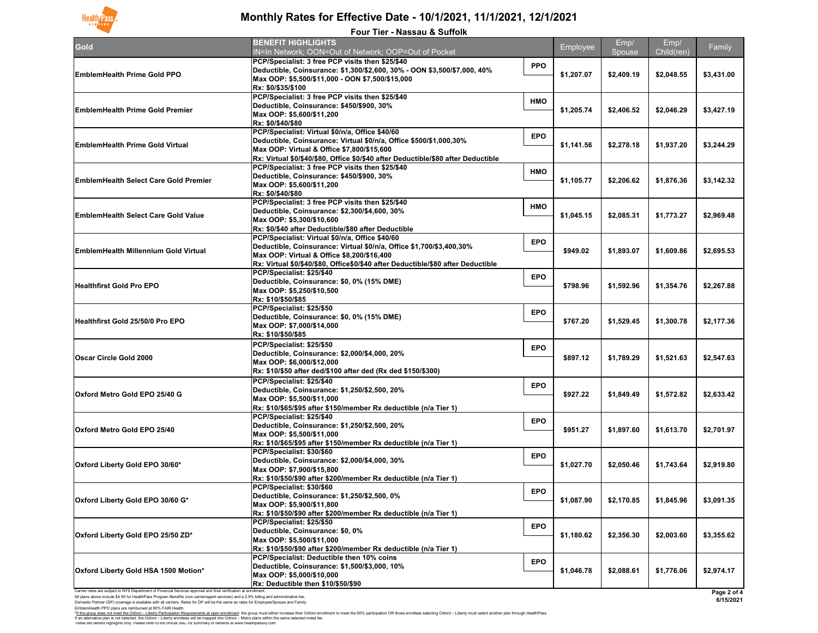EmblemHealth PPO plans are reimbursed at 80% FAIR Health. These are benefit highlights only. Please refer to the official SBC for summary of benefits at www.healthpassny.com. \*<u>If the group does not meet the Oxford – Liberty Participation Requirements at open enrollment</u>: the group must either increase their Oxford enrollment to meet the 60% participation OR those enrollees selecting Oxford – L If an alternative plan is not selected, the Oxford – Liberty enrollees will be mapped into Oxford – Metro plans within the same selected metal tier.

| <b>Four Tier - Nassau &amp; Suffolk</b>                                                                                                                                                                                                                                                                                                                                                            |                                                                                                                                                                                                                                                           |            |            |            |            |                          |  |
|----------------------------------------------------------------------------------------------------------------------------------------------------------------------------------------------------------------------------------------------------------------------------------------------------------------------------------------------------------------------------------------------------|-----------------------------------------------------------------------------------------------------------------------------------------------------------------------------------------------------------------------------------------------------------|------------|------------|------------|------------|--------------------------|--|
| Gold                                                                                                                                                                                                                                                                                                                                                                                               | <b>BENEFIT HIGHLIGHTS</b>                                                                                                                                                                                                                                 |            | Employee   | Emp/       | Emp/       | Family                   |  |
|                                                                                                                                                                                                                                                                                                                                                                                                    | IN=In Network; OON=Out of Network; OOP=Out of Pocket                                                                                                                                                                                                      |            |            | Spouse     | Child(ren) |                          |  |
| <b>EmblemHealth Prime Gold PPO</b>                                                                                                                                                                                                                                                                                                                                                                 | PCP/Specialist: 3 free PCP visits then \$25/\$40<br>Deductible, Coinsurance: \$1,300/\$2,600, 30% - OON \$3,500/\$7,000, 40%<br>Max OOP: \$5,500/\$11,000 - OON \$7,500/\$15,000<br>Rx: \$0/\$35/\$100                                                    | <b>PPO</b> | \$1,207.07 | \$2,409.19 | \$2,048.55 | \$3,431.00               |  |
| <b>EmblemHealth Prime Gold Premier</b>                                                                                                                                                                                                                                                                                                                                                             | PCP/Specialist: 3 free PCP visits then \$25/\$40<br>Deductible, Coinsurance: \$450/\$900, 30%<br>Max OOP: \$5,600/\$11,200<br> Rx: \$0/\$40/\$80                                                                                                          | <b>HMO</b> | \$1,205.74 | \$2,406.52 | \$2,046.29 | \$3,427.19               |  |
| <b>EmblemHealth Prime Gold Virtual</b>                                                                                                                                                                                                                                                                                                                                                             | PCP/Specialist: Virtual \$0/n/a, Office \$40/60<br>Deductible, Coinsurance: Virtual \$0/n/a, Office \$500/\$1,000,30%<br>Max OOP: Virtual & Office \$7,800/\$15,600<br> Rx: Virtual \$0/\$40/\$80, Office \$0/\$40 after Deductible/\$80 after Deductible | <b>EPO</b> | \$1,141.56 | \$2,278.18 | \$1,937.20 | \$3,244.29               |  |
| <b>EmblemHealth Select Care Gold Premier</b>                                                                                                                                                                                                                                                                                                                                                       | PCP/Specialist: 3 free PCP visits then \$25/\$40<br>Deductible, Coinsurance: \$450/\$900, 30%<br>Max OOP: \$5,600/\$11,200<br><b>Rx: \$0/\$40/\$80</b>                                                                                                    | <b>HMO</b> | \$1,105.77 | \$2,206.62 | \$1,876.36 | \$3,142.32               |  |
| <b>EmblemHealth Select Care Gold Value</b>                                                                                                                                                                                                                                                                                                                                                         | <b>PCP/Specialist: 3 free PCP visits then \$25/\$40</b><br>Deductible, Coinsurance: \$2,300/\$4,600, 30%<br>Max OOP: \$5,300/\$10,600<br>Rx: \$0/\$40 after Deductible/\$80 after Deductible                                                              | <b>HMO</b> | \$1,045.15 | \$2,085.31 | \$1,773.27 | \$2,969.48               |  |
| <b>EmblemHealth Millennium Gold Virtual</b>                                                                                                                                                                                                                                                                                                                                                        | PCP/Specialist: Virtual \$0/n/a, Office \$40/60<br>Deductible, Coinsurance: Virtual \$0/n/a, Office \$1,700/\$3,400,30%<br>Max OOP: Virtual & Office \$8,200/\$16,400<br>Rx: Virtual \$0/\$40/\$80, Office\$0/\$40 after Deductible/\$80 after Deductible | <b>EPO</b> | \$949.02   | \$1,893.07 | \$1,609.86 | \$2,695.53               |  |
| <b>Healthfirst Gold Pro EPO</b>                                                                                                                                                                                                                                                                                                                                                                    | PCP/Specialist: \$25/\$40<br>Deductible, Coinsurance: \$0, 0% (15% DME)<br>Max OOP: \$5,250/\$10,500<br>Rx: \$10/\$50/\$85                                                                                                                                | <b>EPO</b> | \$798.96   | \$1,592.96 | \$1,354.76 | \$2,267.88               |  |
| <b>Healthfirst Gold 25/50/0 Pro EPO</b>                                                                                                                                                                                                                                                                                                                                                            | PCP/Specialist: \$25/\$50<br>Deductible, Coinsurance: \$0, 0% (15% DME)<br>Max OOP: \$7,000/\$14,000<br>Rx: \$10/\$50/\$85                                                                                                                                | <b>EPO</b> | \$767.20   | \$1,529.45 | \$1,300.78 | \$2,177.36               |  |
| <b>Oscar Circle Gold 2000</b>                                                                                                                                                                                                                                                                                                                                                                      | PCP/Specialist: \$25/\$50<br>Deductible, Coinsurance: \$2,000/\$4,000, 20%<br>Max OOP: \$6,000/\$12,000<br>Rx: \$10/\$50 after ded/\$100 after ded (Rx ded \$150/\$300)                                                                                   | <b>EPO</b> | \$897.12   | \$1,789.29 | \$1,521.63 | \$2,547.63               |  |
| <b>Oxford Metro Gold EPO 25/40 G</b>                                                                                                                                                                                                                                                                                                                                                               | PCP/Specialist: \$25/\$40<br>Deductible, Coinsurance: \$1,250/\$2,500, 20%<br>Max OOP: \$5,500/\$11,000<br>Rx: \$10/\$65/\$95 after \$150/member Rx deductible (n/a Tier 1)                                                                               | <b>EPO</b> | \$927.22   | \$1,849.49 | \$1,572.82 | \$2,633.42               |  |
| <b>Oxford Metro Gold EPO 25/40</b>                                                                                                                                                                                                                                                                                                                                                                 | PCP/Specialist: \$25/\$40<br>Deductible, Coinsurance: \$1,250/\$2,500, 20%<br>Max OOP: \$5,500/\$11,000<br>Rx: \$10/\$65/\$95 after \$150/member Rx deductible (n/a Tier 1)                                                                               | <b>EPO</b> | \$951.27   | \$1,897.60 | \$1,613.70 | \$2,701.97               |  |
| Oxford Liberty Gold EPO 30/60*                                                                                                                                                                                                                                                                                                                                                                     | PCP/Specialist: \$30/\$60<br>Deductible, Coinsurance: \$2,000/\$4,000, 30%<br>Max OOP: \$7,900/\$15,800<br>Rx: \$10/\$50/\$90 after \$200/member Rx deductible (n/a Tier 1)                                                                               | <b>EPO</b> | \$1,027.70 | \$2,050.46 | \$1,743.64 | \$2,919.80               |  |
| <b>Oxford Liberty Gold EPO 30/60 G*</b>                                                                                                                                                                                                                                                                                                                                                            | PCP/Specialist: \$30/\$60<br>Deductible, Coinsurance: \$1,250/\$2,500, 0%<br>Max OOP: \$5,900/\$11,800<br>Rx: \$10/\$50/\$90 after \$200/member Rx deductible (n/a Tier 1)                                                                                | <b>EPO</b> | \$1,087.90 | \$2,170.85 | \$1,845.96 | \$3,091.35               |  |
| Oxford Liberty Gold EPO 25/50 ZD*                                                                                                                                                                                                                                                                                                                                                                  | PCP/Specialist: \$25/\$50<br>Deductible, Coinsurance: \$0, 0%<br>Max OOP: \$5,500/\$11,000<br>Rx: \$10/\$50/\$90 after \$200/member Rx deductible (n/a Tier 1)                                                                                            | <b>EPO</b> | \$1,180.62 | \$2,356.30 | \$2,003.60 | \$3,355.62               |  |
| Oxford Liberty Gold HSA 1500 Motion*                                                                                                                                                                                                                                                                                                                                                               | <b>PCP/Specialist: Deductible then 10% coins</b><br>Deductible, Coinsurance: \$1,500/\$3,000, 10%<br>Max OOP: \$5,000/\$10,000<br>Rx: Deductible then \$10/\$50/\$90                                                                                      | <b>EPO</b> | \$1,046.78 | \$2,088.61 | \$1,776.06 | \$2,974.17               |  |
| Carrier rates are subject to NYS Department of Financial Services approval and final verification at enrollment<br>All plans above include \$4.95 for HealthPass Program Benefits (non-carrier/agent services) and a 2.9% billing and administrative fee.<br>Domestic Partner (DP) coverage is available with all carriers. Rates for DP will be the same as rates for Employee/Spouse and Family. |                                                                                                                                                                                                                                                           |            |            |            |            | Page 2 of 4<br>6/15/2021 |  |



# **Monthly Rates for Effective Date - 10/1/2021, 11/1/2021, 12/1/2021**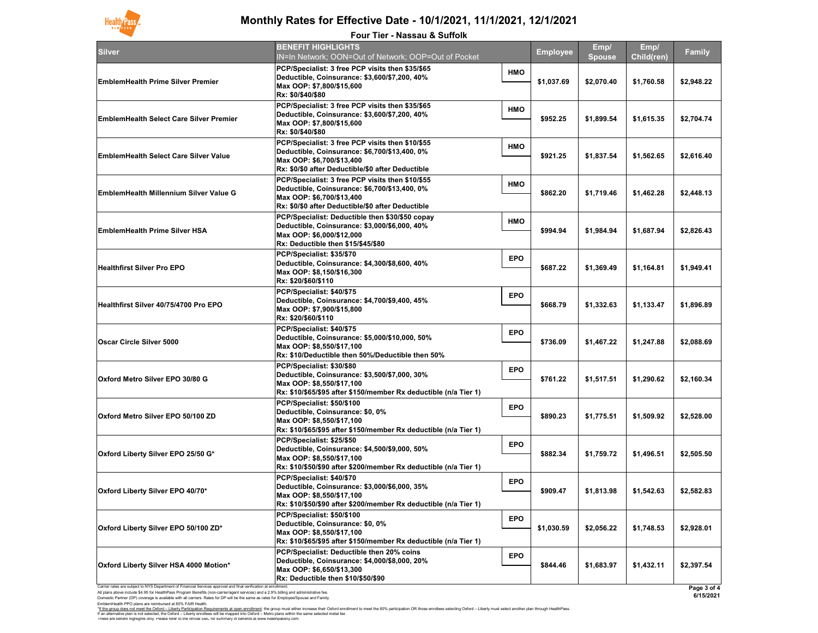Carrier rates are subject to NYS Department of Financial Services approval and final verification at enrollment.

All plans above include \$4.95 for HealthPass Program Benefits (non-carrier/agent services) and a 2.9% billing and administrative fee. Domestic Partner (DP) coverage is available with all carriers. Rates for DP will be the same as rates for Employee/Spouse and Family. EmblemHealth PPO plans are reimbursed at 80% FAIR Health.

| y                                   |  |
|-------------------------------------|--|
| $\overline{2}$                      |  |
| 74                                  |  |
| 10                                  |  |
| 3                                   |  |
| 13                                  |  |
| $\mathbf{I}$                        |  |
| 39                                  |  |
| $\mathbf{39}$                       |  |
| $\mathbf{\hat{S}}$<br>4             |  |
| $\overline{\mathbf{0}}$             |  |
| 50                                  |  |
| 33                                  |  |
| $\overline{)1}$                     |  |
| j                                   |  |
| $\overline{\text{3 of 4}}$<br>12024 |  |

These are benefit highlights only. Please refer to the official SBC for summary of benefits at www.healthpassny.com. \*<u>If the group does not meet the Oxford – Liberty Participation Requirements at open enrollment</u>: the group must either increase their Oxford enrollment to meet the 60% participation OR those enrollees selecting Oxford – L If an alternative plan is not selected, the Oxford – Liberty enrollees will be mapped into Oxford – Metro plans within the same selected metal tier.



## **Monthly Rates for Effective Date - 10/1/2021, 11/1/2021, 12/1/2021**

| Silver                                       | <b>BENEFIT HIGHLIGHTS</b><br>IN=In Network; OON=Out of Network; OOP=Out of Pocket                                                                                                     |            | <b>Employee</b> | Emp/<br><b>Spouse</b> | Emp/<br><b>Child(ren)</b> | <b>Family</b> |
|----------------------------------------------|---------------------------------------------------------------------------------------------------------------------------------------------------------------------------------------|------------|-----------------|-----------------------|---------------------------|---------------|
| <b>EmblemHealth Prime Silver Premier</b>     | PCP/Specialist: 3 free PCP visits then \$35/\$65<br>Deductible, Coinsurance: \$3,600/\$7,200, 40%<br>Max OOP: \$7,800/\$15,600 <br> Rx: \$0/\$40/\$80                                 | <b>HMO</b> | \$1,037.69      | \$2,070.40            | \$1,760.58                | \$2,948.22    |
| EmblemHealth Select Care Silver Premier      | PCP/Specialist: 3 free PCP visits then \$35/\$65<br>Deductible, Coinsurance: \$3,600/\$7,200, 40%<br>Max OOP: \$7,800/\$15,600<br><b>Rx: \$0/\$40/\$80</b>                            | <b>HMO</b> | \$952.25        | \$1,899.54            | \$1,615.35                | \$2,704.74    |
| <b>EmblemHealth Select Care Silver Value</b> | PCP/Specialist: 3 free PCP visits then \$10/\$55<br>Deductible, Coinsurance: \$6,700/\$13,400, 0%<br>Max OOP: \$6,700/\$13,400 <br>Rx: \$0/\$0 after Deductible/\$0 after Deductible  | <b>HMO</b> | \$921.25        | \$1,837.54            | \$1,562.65                | \$2,616.40    |
| EmblemHealth Millennium Silver Value G       | PCP/Specialist: 3 free PCP visits then \$10/\$55<br>Deductible, Coinsurance: \$6,700/\$13,400, 0%<br>Max OOP: \$6,700/\$13,400 M<br>Rx: \$0/\$0 after Deductible/\$0 after Deductible | <b>HMO</b> | \$862.20        | \$1,719.46            | \$1,462.28                | \$2,448.13    |
| <b>EmblemHealth Prime Silver HSA</b>         | PCP/Specialist: Deductible then \$30/\$50 copay<br>Deductible, Coinsurance: \$3,000/\$6,000, 40%<br>Max OOP: \$6,000/\$12,000 <br>Rx: Deductible then \$15/\$45/\$80                  | <b>HMO</b> | \$994.94        | \$1,984.94            | \$1,687.94                | \$2,826.43    |
| <b>Healthfirst Silver Pro EPO</b>            | PCP/Specialist: \$35/\$70<br>Deductible, Coinsurance: \$4,300/\$8,600, 40%<br>Max OOP: \$8,150/\$16,300 <br> Rx: \$20/\$60/\$110                                                      | <b>EPO</b> | \$687.22        | \$1,369.49            | \$1,164.81                | \$1,949.41    |
| Healthfirst Silver 40/75/4700 Pro EPO        | PCP/Specialist: \$40/\$75<br>Deductible, Coinsurance: \$4,700/\$9,400, 45%<br>Max OOP: \$7,900/\$15,800<br>Rx: \$20/\$60/\$110                                                        | <b>EPO</b> | \$668.79        | \$1,332.63            | \$1,133.47                | \$1,896.89    |
| <b>Oscar Circle Silver 5000</b>              | PCP/Specialist: \$40/\$75<br>Deductible, Coinsurance: \$5,000/\$10,000, 50%<br>Max OOP: \$8,550/\$17,100 <br>Rx: \$10/Deductible then 50%/Deductible then 50%                         | <b>EPO</b> | \$736.09        | \$1,467.22            | \$1,247.88                | \$2,088.69    |
| Oxford Metro Silver EPO 30/80 G              | PCP/Specialist: \$30/\$80<br> Deductible, Coinsurance: \$3,500/\$7,000, 30%<br>Max OOP: \$8,550/\$17,100<br>Rx: \$10/\$65/\$95 after \$150/member Rx deductible (n/a Tier 1)          | <b>EPO</b> | \$761.22        | \$1,517.51            | \$1,290.62                | \$2,160.34    |
| <b>Oxford Metro Silver EPO 50/100 ZD</b>     | PCP/Specialist: \$50/\$100<br>Deductible, Coinsurance: \$0, 0%<br>Max OOP: \$8,550/\$17,100<br>Rx: \$10/\$65/\$95 after \$150/member Rx deductible (n/a Tier 1)                       | <b>EPO</b> | \$890.23        | \$1,775.51            | \$1,509.92                | \$2,528.00    |
| <b>Oxford Liberty Silver EPO 25/50 G*</b>    | PCP/Specialist: \$25/\$50<br>Deductible, Coinsurance: \$4,500/\$9,000, 50%<br>Max OOP: \$8,550/\$17,100 <br>Rx: \$10/\$50/\$90 after \$200/member Rx deductible (n/a Tier 1)          | <b>EPO</b> | \$882.34        | \$1,759.72            | \$1,496.51                | \$2,505.50    |
| Oxford Liberty Silver EPO 40/70*             | PCP/Specialist: \$40/\$70<br>Deductible, Coinsurance: \$3,000/\$6,000, 35%<br>Max OOP: \$8,550/\$17,100 <br>Rx: \$10/\$50/\$90 after \$200/member Rx deductible (n/a Tier 1)          | <b>EPO</b> | \$909.47        | \$1,813.98            | \$1,542.63                | \$2,582.83    |
| Oxford Liberty Silver EPO 50/100 ZD*         | PCP/Specialist: \$50/\$100<br>Deductible, Coinsurance: \$0, 0%<br> Max OOP: \$8,550/\$17,100<br>Rx: \$10/\$65/\$95 after \$150/member Rx deductible (n/a Tier 1)                      | <b>EPO</b> | \$1,030.59      | \$2,056.22            | \$1,748.53                | \$2,928.01    |
| Oxford Liberty Silver HSA 4000 Motion*       | PCP/Specialist: Deductible then 20% coins<br>Deductible, Coinsurance: \$4,000/\$8,000, 20%<br>Max OOP: \$6,650/\$13,300<br>Rx: Deductible then \$10/\$50/\$90                         | <b>EPO</b> | \$844.46        | \$1,683.97            | \$1,432.11                | \$2,397.54    |